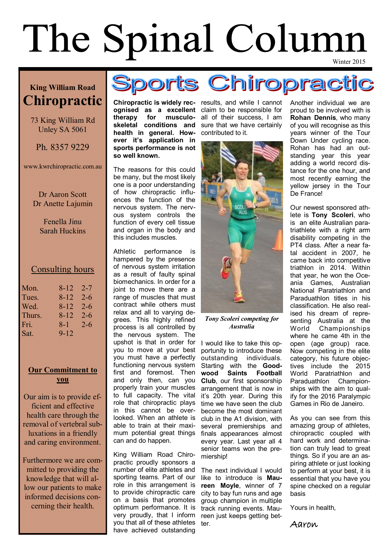# The Spinal Column

### **King William Road Chiropractic**

73 King William Rd Unley SA 5061

Ph. 8357 9229

www.kwrchiropractic.com.au

Dr Aaron Scott Dr Anette Lajumin

> Fenella Jinu Sarah Huckins

### Consulting hours

| 8-12     | $2 - 7$ |
|----------|---------|
| 8-12     | $2 - 6$ |
| 8-12     | $2 - 6$ |
| 8-12     | $2 - 6$ |
| 8-1      | $2 - 6$ |
| $9 - 12$ |         |
|          |         |

### **Our Commitment to you**

Our aim is to provide efficient and effective health care through the removal of vertebral subluxations in a friendly and caring environment.

Furthermore we are committed to providing the knowledge that will allow our patients to make informed decisions concerning their health.



**Chiropractic is widely rec-**results, and while I cannot **ognised** as a excellent claim to be responsible for **therapy for musculo-**all of their success, I am skeletal conditions and sure that we have certainly **health in general. How-**contributed to it. **ever it's application in sports performance is not so well known.** 

The reasons for this could be many, but the most likely one is a poor understanding of how chiropractic influences the function of the nervous system. The nervous system controls the function of every cell tissue and organ in the body and this includes muscles.

Athletic performance is hampered by the presence of nervous system irritation as a result of faulty spinal biomechanics. In order for a joint to move there are a range of muscles that must contract while others must relax and all to varying degrees. This highly refined process is all controlled by the nervous system. The upshot is that in order for you to move at your best you must have a perfectly functioning nervous system first and foremost. Then and only then, can you properly train your muscles to full capacity. The vital role that chiropractic plays in this cannot be overlooked. When an athlete is able to train at their maximum potential great things can and do happen.

King William Road Chiropractic proudly sponsors a number of elite athletes and sporting teams. Part of our role in this arrangement is to provide chiropractic care on a basis that promotes optimum performance. It is very proudly, that I inform you that all of these athletes have achieved outstanding



*Tony Scoleri competing for Australia*

I would like to take this opportunity to introduce these outstanding individuals. Starting with the **Goodwood Saints Football Club**, our first sponsorship arrangement that is now in it's 20th year. During this time we have seen the club become the most dominant club in the A1 division, with several premierships and finals appearances almost every year. Last year all 4 senior teams won the premiership!

The next individual I would like to introduce is **Maureen Moyle**, winner of 7 city to bay fun runs and age group champion in multiple track running events. Maureen just keeps getting better.

Another individual we are proud to be involved with is **Rohan Dennis**, who many of you will recognise as this years winner of the Tour Down Under cycling race. Rohan has had an outstanding year this year adding a world record distance for the one hour, and most recently earning the yellow jersey in the Tour De France!

Our newest sponsored athlete is **Tony Scoleri**, who is an elite Australian paratriathlete with a right arm disability competing in the PT4 class. After a near fatal accident in 2007, he came back into competitive triathlon in 2014. Within that year, he won the Oceania Games, Australian National Paratriathlon and Paraduathlon titles in his classification. He also realised his dream of representing Australia at the World Championships where he came 4th in the open (age group) race. Now competing in the elite category, his future objectives include the 2015 World Paratriathlon and Paraduathlon Championships with the aim to qualify for the 2016 Paralympic Games in Rio de Janeiro.

As you can see from this amazing group of athletes, chiropractic coupled with hard work and determination can truly lead to great things. So if you are an aspiring athlete or just looking to perform at your best, it is essential that you have you spine checked on a regular basis

Yours in health,

Aaron